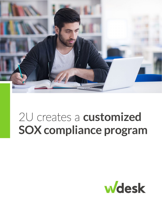

# 2U creates a **customized SOX compliance program**

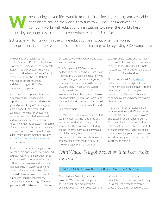## Market to students around the world, they turn to 2U, Inc. The Landover, Md.<br>
company works with educational institutions to deliver the world's best to students around the world, they turn to 2U, Inc. The Landover, Md. company works with educational institutions to deliver the world's best online degree programs to students everywhere via the 2U platform.

2U gets an A+ for its work in the online education arena, but when the young, entrepreneurial company went public, it had some learning to do regarding SOX compliance.

"We became an accelerated filer quickly," explains Rex Roberts, Senior Director of Business Process Controls at 2U. "A lot of processes that were informal had to become formal fast. It was a big culture change." Roberts was responsible for starting and then managing 2U's SOX compliance program.

Roberts and his reporting team have extensive reporting and audit experience. So they started from the ground up—talking to 2U managers, learning about their work, and evaluating how their processes can be tested and reported to external auditors and management. Then, Roberts conducted an extensive search of major reporting systems to manage the process. They were about to ink a deal when a team member brought [Wdesk for Controls Management](https://www.workiva.com/solutions/sox-compliance) to their attention.

Roberts and his team arranged a quick Wdesk demo and immediately changed course. "Workiva had a product that allows us to do it our way. Wdesk fit with our company's overall strategy," says Roberts. "Plus, it was all in one place, and it was secure." He adds that Wdesk was also considerably less expensive than the contract the company was about to sign. "Wdesk gave us an affordable solution," he says. 2U contracted with Workiva, and class was in session.

"The first year of SOX reporting is hellacious no matter who you are," says Roberts. In 2U's case, the situation was more challenging because the young company was brand new to the formal SOX process. "That's where Wdesk really came in. We worked with the Workiva implementation team—two of the most patient people on Earth—and they took our ideas from a white board and showed us how to accomplish and implement them."

The Workiva team supported 2U's SOX team members as they designed and implemented their first steps, built standard SOX documents—including the risk control matrix and narratives and linked everything to a source document. They also built dashboards and heat maps that made it easy to show management their progress.

to the process I want, and I can get results out of it no matter what I want to see." He says that flexibility helps his team work efficiently and make the right, data-driven decisions.

2U is using Wdesk for [evidence](https://www.workiva.com/blog/complex-evidence-collection-practices-increase-risk)  [collection](https://www.workiva.com/blog/complex-evidence-collection-practices-increase-risk) to get the right information in the right place and connect it to the controls and the right people. And they are using Wdesk Certification to communicate with process owners about testing.

"That's the most impressive part of what we've done with Wdesk," says Roberts. "If I had to rely on a Word® and Excel® environment stored in a Dropbox<sup>™</sup> file to turn information into something presentable to a CFO or audit committee, I'd be spending more time doing yeoman's work than actually making sure we were able to get through testing."

## *"With Wdesk I've got a solution that I can make my own."*

#### — REX ROBERTS *Senior Director of Business Process Controls, 2U, Inc.*

The solution's flexibility made it all possible. "With Wdesk, I've got a solution that I can make my own," explains Roberts. "I can do it according When Roberts and his team completed their first round of testing in Wdesk, their results mirrored those of 2U's external auditors, with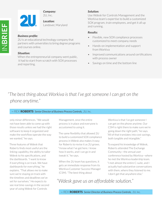

### *Company:*

2U, Inc.

*Location:* Landover, Maryland

#### *Business profile:*

**2U** 

2U is an educational technology company that partners with universities to bring degree programs and courses online.

#### *Situation:*

When the entrepreneurial company went public, it had to start from scratch with SOX processes and reporting.

#### *Solution:*

Use Wdesk for Controls Management and the Workiva team's expertise to build a customized SOX program, train employees, and get it all up and running.

#### *Results:*

- Flexible, new SOX compliance processes customized to meet company needs
- Hands-on implementation and support from Workiva
- Improved communications around certifications with process owner
- Savings on time and the bottom line

# *"The best thing about Workiva is that I've got someone I can get on the phone anytime."*

#### — REX ROBERTS *Senior Director of Business Process Controls, 2U, Inc.*

only minor differences. "We would not have been able to come up with those results unless we had the right software to keep it organized and make the workflow operate the way we wanted," he says.

Three features of Wdesk that Roberts finds most useful are the linking capability, the ability to tailor Wdesk to his specifications, and the dashboards. "I want to know if everything is on track. We have dashboards for everything," he explains. "That allows me to make sure we're staying on track with the timelines and deadlines we've set for ourselves." He expects to see real time-savings in the second year of using Wdesk for Controls

Management, once the entire process is in place and everyone is accustomed to using it.

The same flexibility that allowed 2U to build a customized SOX compliance process in Wdesk also makes it easy for Roberts to revise it as 2U grows. "I know what I've got here. I know how it works, and I can go in and tweak it," he says.

When the 2U team has questions, it gets an immediate response from its Workiva Customer Success Manager (CSM). "The best thing about

Workiva is that I've got someone I can get on the phone anytime. Our CSM is right there to make sure we're going down the right path," he says. "All of that translates into cost savings, both tangible and intangible."

To expand his knowledge of Wdesk, Roberts attended The Exchange Community—the annual user conference hosted by Workiva—where he met the Workiva leadership team. "I met almost the entire C-suite, and I actually had substantive conversations with them, where they listened to me. I don't get that anywhere else."

*"Wdesk gave us an affordable solution."*